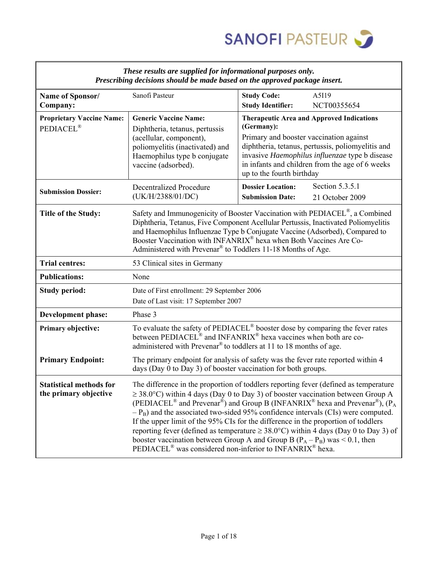

| saas ar e sappaca jor aljormanonar p<br>Prescribing decisions should be made based on the approved package insert. |                                                                                                                                                                                                                                                                                                                                                                                                                                                                                                                                                                                                                                                                                                                                                                               |                                                                                                                                                                                                                                                                                                                                                                                        |  |  |  |  |  |
|--------------------------------------------------------------------------------------------------------------------|-------------------------------------------------------------------------------------------------------------------------------------------------------------------------------------------------------------------------------------------------------------------------------------------------------------------------------------------------------------------------------------------------------------------------------------------------------------------------------------------------------------------------------------------------------------------------------------------------------------------------------------------------------------------------------------------------------------------------------------------------------------------------------|----------------------------------------------------------------------------------------------------------------------------------------------------------------------------------------------------------------------------------------------------------------------------------------------------------------------------------------------------------------------------------------|--|--|--|--|--|
| Name of Sponsor/                                                                                                   | Sanofi Pasteur                                                                                                                                                                                                                                                                                                                                                                                                                                                                                                                                                                                                                                                                                                                                                                | A5I19<br><b>Study Code:</b>                                                                                                                                                                                                                                                                                                                                                            |  |  |  |  |  |
| Company:                                                                                                           |                                                                                                                                                                                                                                                                                                                                                                                                                                                                                                                                                                                                                                                                                                                                                                               | <b>Study Identifier:</b><br>NCT00355654                                                                                                                                                                                                                                                                                                                                                |  |  |  |  |  |
| <b>Proprietary Vaccine Name:</b>                                                                                   | <b>Generic Vaccine Name:</b>                                                                                                                                                                                                                                                                                                                                                                                                                                                                                                                                                                                                                                                                                                                                                  | <b>Therapeutic Area and Approved Indications</b>                                                                                                                                                                                                                                                                                                                                       |  |  |  |  |  |
| PEDIACEL <sup>®</sup>                                                                                              | Diphtheria, tetanus, pertussis<br>(acellular, component),<br>poliomyelitis (inactivated) and<br>Haemophilus type b conjugate<br>vaccine (adsorbed).                                                                                                                                                                                                                                                                                                                                                                                                                                                                                                                                                                                                                           | (Germany):<br>Primary and booster vaccination against<br>diphtheria, tetanus, pertussis, poliomyelitis and<br>invasive Haemophilus influenzae type b disease<br>in infants and children from the age of 6 weeks<br>up to the fourth birthday                                                                                                                                           |  |  |  |  |  |
| <b>Submission Dossier:</b>                                                                                         | <b>Decentralized Procedure</b><br>(UK/H/2388/01/DC)                                                                                                                                                                                                                                                                                                                                                                                                                                                                                                                                                                                                                                                                                                                           | Section 5.3.5.1<br><b>Dossier Location:</b><br><b>Submission Date:</b><br>21 October 2009                                                                                                                                                                                                                                                                                              |  |  |  |  |  |
| <b>Title of the Study:</b>                                                                                         |                                                                                                                                                                                                                                                                                                                                                                                                                                                                                                                                                                                                                                                                                                                                                                               | Safety and Immunogenicity of Booster Vaccination with PEDIACEL®, a Combined<br>Diphtheria, Tetanus, Five Component Acellular Pertussis, Inactivated Poliomyelitis<br>and Haemophilus Influenzae Type b Conjugate Vaccine (Adsorbed), Compared to<br>Booster Vaccination with INFANRIX® hexa when Both Vaccines Are Co-<br>Administered with Prevenar® to Toddlers 11-18 Months of Age. |  |  |  |  |  |
| <b>Trial centres:</b>                                                                                              | 53 Clinical sites in Germany                                                                                                                                                                                                                                                                                                                                                                                                                                                                                                                                                                                                                                                                                                                                                  |                                                                                                                                                                                                                                                                                                                                                                                        |  |  |  |  |  |
| <b>Publications:</b>                                                                                               | None                                                                                                                                                                                                                                                                                                                                                                                                                                                                                                                                                                                                                                                                                                                                                                          |                                                                                                                                                                                                                                                                                                                                                                                        |  |  |  |  |  |
| <b>Study period:</b>                                                                                               |                                                                                                                                                                                                                                                                                                                                                                                                                                                                                                                                                                                                                                                                                                                                                                               | Date of First enrollment: 29 September 2006<br>Date of Last visit: 17 September 2007                                                                                                                                                                                                                                                                                                   |  |  |  |  |  |
| Development phase:                                                                                                 | Phase 3                                                                                                                                                                                                                                                                                                                                                                                                                                                                                                                                                                                                                                                                                                                                                                       |                                                                                                                                                                                                                                                                                                                                                                                        |  |  |  |  |  |
| Primary objective:                                                                                                 |                                                                                                                                                                                                                                                                                                                                                                                                                                                                                                                                                                                                                                                                                                                                                                               | To evaluate the safety of PEDIACEL <sup>®</sup> booster dose by comparing the fever rates<br>between PEDIACEL <sup>®</sup> and INFANRIX <sup>®</sup> hexa vaccines when both are co-<br>administered with Prevenar <sup>®</sup> to toddlers at 11 to 18 months of age.                                                                                                                 |  |  |  |  |  |
| <b>Primary Endpoint:</b>                                                                                           | The primary endpoint for analysis of safety was the fever rate reported within 4<br>days (Day 0 to Day 3) of booster vaccination for both groups.                                                                                                                                                                                                                                                                                                                                                                                                                                                                                                                                                                                                                             |                                                                                                                                                                                                                                                                                                                                                                                        |  |  |  |  |  |
| <b>Statistical methods for</b><br>the primary objective                                                            | The difference in the proportion of toddlers reporting fever (defined as temperature<br>$\geq$ 38.0°C) within 4 days (Day 0 to Day 3) of booster vaccination between Group A<br>(PEDIACEL <sup>®</sup> and Prevenar <sup>®</sup> ) and Group B (INFANRIX <sup>®</sup> hexa and Prevenar <sup>®</sup> ), (P <sub>A</sub><br>$-P_B$ ) and the associated two-sided 95% confidence intervals (CIs) were computed.<br>If the upper limit of the 95% CIs for the difference in the proportion of toddlers<br>reporting fever (defined as temperature $\geq 38.0^{\circ}$ C) within 4 days (Day 0 to Day 3) of<br>booster vaccination between Group A and Group B $(P_A - P_B)$ was < 0.1, then<br>PEDIACEL <sup>®</sup> was considered non-inferior to INFANRIX <sup>®</sup> hexa. |                                                                                                                                                                                                                                                                                                                                                                                        |  |  |  |  |  |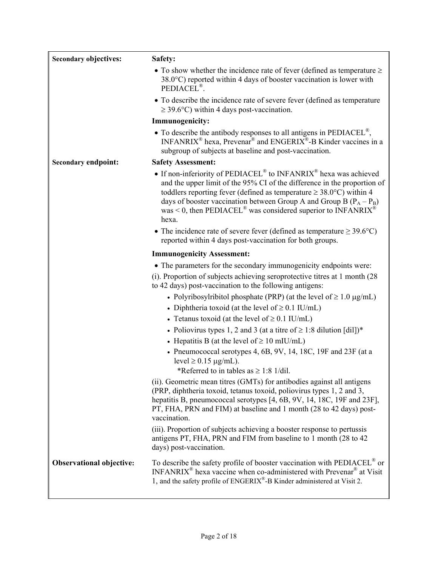| <b>Secondary objectives:</b>    | Safety:                                                                                                                                                                                                                                                                                                                                                                                                                                     |
|---------------------------------|---------------------------------------------------------------------------------------------------------------------------------------------------------------------------------------------------------------------------------------------------------------------------------------------------------------------------------------------------------------------------------------------------------------------------------------------|
|                                 | • To show whether the incidence rate of fever (defined as temperature $\geq$<br>$38.0^{\circ}$ C) reported within 4 days of booster vaccination is lower with<br>PEDIACEL <sup>®</sup> .                                                                                                                                                                                                                                                    |
|                                 | • To describe the incidence rate of severe fever (defined as temperature<br>$\geq$ 39.6°C) within 4 days post-vaccination.                                                                                                                                                                                                                                                                                                                  |
|                                 | <b>Immunogenicity:</b>                                                                                                                                                                                                                                                                                                                                                                                                                      |
|                                 | $\bullet$ To describe the antibody responses to all antigens in PEDIACEL <sup>®</sup> ,<br>$INFANRIX^{\circledast}$ hexa, Prevenar <sup>®</sup> and ENGERIX <sup>®</sup> -B Kinder vaccines in a<br>subgroup of subjects at baseline and post-vaccination.                                                                                                                                                                                  |
| <b>Secondary endpoint:</b>      | <b>Safety Assessment:</b>                                                                                                                                                                                                                                                                                                                                                                                                                   |
|                                 | • If non-inferiority of PEDIACEL <sup>®</sup> to INFANRIX <sup>®</sup> hexa was achieved<br>and the upper limit of the 95% CI of the difference in the proportion of<br>toddlers reporting fever (defined as temperature $\geq 38.0^{\circ}$ C) within 4<br>days of booster vaccination between Group A and Group B $(P_A - P_B)$<br>was < 0, then PEDIACEL <sup>®</sup> was considered superior to $\text{INFANRIX}$ <sup>®</sup><br>hexa. |
|                                 | • The incidence rate of severe fever (defined as temperature $\geq 39.6$ °C)<br>reported within 4 days post-vaccination for both groups.                                                                                                                                                                                                                                                                                                    |
|                                 | <b>Immunogenicity Assessment:</b>                                                                                                                                                                                                                                                                                                                                                                                                           |
|                                 | • The parameters for the secondary immunogenicity endpoints were:                                                                                                                                                                                                                                                                                                                                                                           |
|                                 | (i). Proportion of subjects achieving seroprotective titres at 1 month (28)<br>to 42 days) post-vaccination to the following antigens:                                                                                                                                                                                                                                                                                                      |
|                                 | • Polyribosylribitol phosphate (PRP) (at the level of $\geq 1.0 \mu g/mL$ )<br>• Diphtheria toxoid (at the level of $\geq 0.1$ IU/mL)                                                                                                                                                                                                                                                                                                       |
|                                 | • Tetanus toxoid (at the level of $\geq 0.1$ IU/mL)                                                                                                                                                                                                                                                                                                                                                                                         |
|                                 | • Poliovirus types 1, 2 and 3 (at a titre of $\geq$ 1:8 dilution [dil])*                                                                                                                                                                                                                                                                                                                                                                    |
|                                 | • Hepatitis B (at the level of $\geq 10$ mIU/mL)                                                                                                                                                                                                                                                                                                                                                                                            |
|                                 | • Pneumococcal serotypes 4, $6B$ , $9V$ , 14, 18C, 19F and 23F (at a<br>level $\geq$ 0.15 µg/mL).                                                                                                                                                                                                                                                                                                                                           |
|                                 | *Referred to in tables as $\geq$ 1:8 1/dil.                                                                                                                                                                                                                                                                                                                                                                                                 |
|                                 | (ii). Geometric mean titres (GMTs) for antibodies against all antigens<br>(PRP, diphtheria toxoid, tetanus toxoid, poliovirus types 1, 2 and 3,<br>hepatitis B, pneumococcal serotypes [4, 6B, 9V, 14, 18C, 19F and 23F],<br>PT, FHA, PRN and FIM) at baseline and 1 month (28 to 42 days) post-<br>vaccination.                                                                                                                            |
|                                 | (iii). Proportion of subjects achieving a booster response to pertussis<br>antigens PT, FHA, PRN and FIM from baseline to 1 month (28 to 42)<br>days) post-vaccination.                                                                                                                                                                                                                                                                     |
| <b>Observational objective:</b> | To describe the safety profile of booster vaccination with PEDIACEL® or<br>INFANRIX <sup>®</sup> hexa vaccine when co-administered with Prevenar <sup>®</sup> at Visit<br>1, and the safety profile of ENGERIX <sup>®</sup> -B Kinder administered at Visit 2.                                                                                                                                                                              |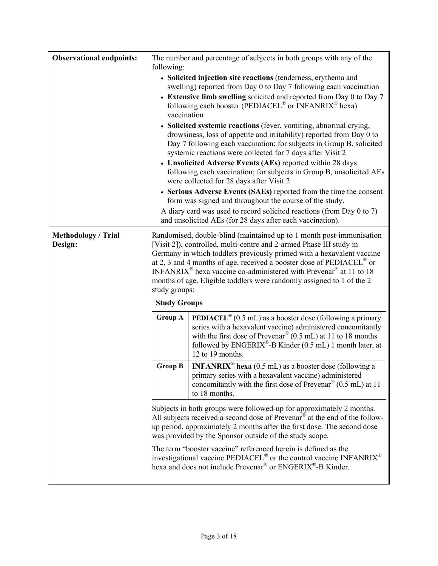| <b>Observational endpoints:</b>       | following:                                                                                                                                                                                                                                                                                                                                                                                                                                                                                                                                     | The number and percentage of subjects in both groups with any of the                                                                                                                                                                                                |  |  |  |  |  |  |  |
|---------------------------------------|------------------------------------------------------------------------------------------------------------------------------------------------------------------------------------------------------------------------------------------------------------------------------------------------------------------------------------------------------------------------------------------------------------------------------------------------------------------------------------------------------------------------------------------------|---------------------------------------------------------------------------------------------------------------------------------------------------------------------------------------------------------------------------------------------------------------------|--|--|--|--|--|--|--|
|                                       |                                                                                                                                                                                                                                                                                                                                                                                                                                                                                                                                                | • Solicited injection site reactions (tenderness, erythema and<br>swelling) reported from Day 0 to Day 7 following each vaccination                                                                                                                                 |  |  |  |  |  |  |  |
|                                       | • Extensive limb swelling solicited and reported from Day 0 to Day 7<br>following each booster (PEDIACEL <sup>®</sup> or INFANRIX <sup>®</sup> hexa)<br>vaccination<br>• Solicited systemic reactions (fever, vomiting, abnormal crying,<br>drowsiness, loss of appetite and irritability) reported from Day 0 to<br>Day 7 following each vaccination; for subjects in Group B, solicited<br>systemic reactions were collected for 7 days after Visit 2                                                                                        |                                                                                                                                                                                                                                                                     |  |  |  |  |  |  |  |
|                                       |                                                                                                                                                                                                                                                                                                                                                                                                                                                                                                                                                |                                                                                                                                                                                                                                                                     |  |  |  |  |  |  |  |
|                                       |                                                                                                                                                                                                                                                                                                                                                                                                                                                                                                                                                | • Unsolicited Adverse Events (AEs) reported within 28 days<br>following each vaccination; for subjects in Group B, unsolicited AEs<br>were collected for 28 days after Visit 2                                                                                      |  |  |  |  |  |  |  |
|                                       |                                                                                                                                                                                                                                                                                                                                                                                                                                                                                                                                                | • Serious Adverse Events (SAEs) reported from the time the consent<br>form was signed and throughout the course of the study.<br>A diary card was used to record solicited reactions (from Day 0 to 7)<br>and unsolicited AEs (for 28 days after each vaccination). |  |  |  |  |  |  |  |
| <b>Methodology / Trial</b><br>Design: | Randomised, double-blind (maintained up to 1 month post-immunisation<br>[Visit 2]), controlled, multi-centre and 2-armed Phase III study in<br>Germany in which toddlers previously primed with a hexavalent vaccine<br>at 2, 3 and 4 months of age, received a booster dose of $\text{PEDIACEL}^{\omega}$ or<br>INFANRIX <sup>®</sup> hexa vaccine co-administered with Prevenar <sup>®</sup> at 11 to 18<br>months of age. Eligible toddlers were randomly assigned to 1 of the 2<br>study groups:                                           |                                                                                                                                                                                                                                                                     |  |  |  |  |  |  |  |
|                                       | <b>Study Groups</b>                                                                                                                                                                                                                                                                                                                                                                                                                                                                                                                            |                                                                                                                                                                                                                                                                     |  |  |  |  |  |  |  |
|                                       | <b>PEDIACEL</b> ® (0.5 mL) as a booster dose (following a primary<br><b>Group A</b><br>series with a hexavalent vaccine) administered concomitantly<br>with the first dose of Prevenar <sup>®</sup> (0.5 mL) at 11 to 18 months<br>followed by ENGERIX®-B Kinder (0.5 mL) 1 month later, at<br>12 to 19 months.                                                                                                                                                                                                                                |                                                                                                                                                                                                                                                                     |  |  |  |  |  |  |  |
|                                       | <b>INFANRIX<sup>®</sup> hexa</b> (0.5 mL) as a booster dose (following a<br><b>Group B</b><br>primary series with a hexavalent vaccine) administered<br>concomitantly with the first dose of Prevenar® (0.5 mL) at 11<br>to 18 months.<br>Subjects in both groups were followed-up for approximately 2 months.<br>All subjects received a second dose of Prevenar <sup>®</sup> at the end of the follow-<br>up period, approximately 2 months after the first dose. The second dose<br>was provided by the Sponsor outside of the study scope. |                                                                                                                                                                                                                                                                     |  |  |  |  |  |  |  |
|                                       |                                                                                                                                                                                                                                                                                                                                                                                                                                                                                                                                                |                                                                                                                                                                                                                                                                     |  |  |  |  |  |  |  |
|                                       |                                                                                                                                                                                                                                                                                                                                                                                                                                                                                                                                                | The term "booster vaccine" referenced herein is defined as the<br>investigational vaccine PEDIACEL <sup>®</sup> or the control vaccine INFANRIX <sup>®</sup><br>hexa and does not include Prevenar <sup>®</sup> or ENGERIX <sup>®</sup> -B Kinder.                  |  |  |  |  |  |  |  |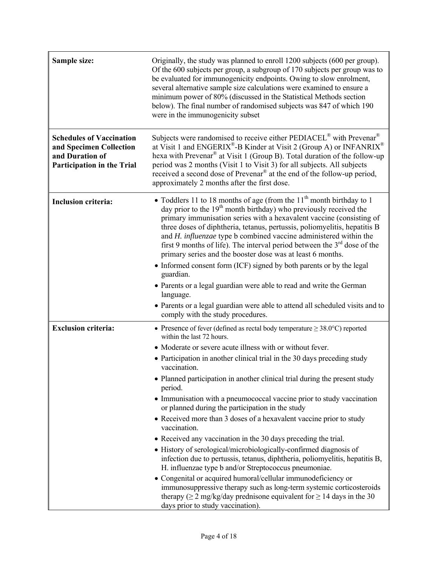| Sample size:                                                                                                       | Originally, the study was planned to enroll 1200 subjects (600 per group).<br>Of the 600 subjects per group, a subgroup of 170 subjects per group was to<br>be evaluated for immunogenicity endpoints. Owing to slow enrolment,<br>several alternative sample size calculations were examined to ensure a<br>minimum power of 80% (discussed in the Statistical Methods section<br>below). The final number of randomised subjects was 847 of which 190<br>were in the immunogenicity subset                                                                                                                                                                                                                                                                                                                                                                                                                                                                                                                                                                                                                                                           |
|--------------------------------------------------------------------------------------------------------------------|--------------------------------------------------------------------------------------------------------------------------------------------------------------------------------------------------------------------------------------------------------------------------------------------------------------------------------------------------------------------------------------------------------------------------------------------------------------------------------------------------------------------------------------------------------------------------------------------------------------------------------------------------------------------------------------------------------------------------------------------------------------------------------------------------------------------------------------------------------------------------------------------------------------------------------------------------------------------------------------------------------------------------------------------------------------------------------------------------------------------------------------------------------|
| <b>Schedules of Vaccination</b><br>and Specimen Collection<br>and Duration of<br><b>Participation in the Trial</b> | Subjects were randomised to receive either PEDIACEL® with Prevenar®<br>at Visit 1 and $ENGERIX^{\otimes}$ -B Kinder at Visit 2 (Group A) or INFANRIX <sup>®</sup><br>hexa with Prevenar® at Visit 1 (Group B). Total duration of the follow-up<br>period was 2 months (Visit 1 to Visit 3) for all subjects. All subjects<br>received a second dose of Prevenar <sup>®</sup> at the end of the follow-up period,<br>approximately 2 months after the first dose.                                                                                                                                                                                                                                                                                                                                                                                                                                                                                                                                                                                                                                                                                       |
| <b>Inclusion criteria:</b>                                                                                         | • Toddlers 11 to 18 months of age (from the $11th$ month birthday to 1<br>day prior to the $19th$ month birthday) who previously received the<br>primary immunisation series with a hexavalent vaccine (consisting of<br>three doses of diphtheria, tetanus, pertussis, poliomyelitis, hepatitis B<br>and H. influenzae type b combined vaccine administered within the<br>first 9 months of life). The interval period between the $3rd$ dose of the<br>primary series and the booster dose was at least 6 months.<br>• Informed consent form (ICF) signed by both parents or by the legal<br>guardian.<br>• Parents or a legal guardian were able to read and write the German<br>language.<br>• Parents or a legal guardian were able to attend all scheduled visits and to<br>comply with the study procedures.                                                                                                                                                                                                                                                                                                                                    |
| <b>Exclusion criteria:</b>                                                                                         | • Presence of fever (defined as rectal body temperature $\geq 38.0^{\circ}$ C) reported<br>within the last 72 hours.<br>• Moderate or severe acute illness with or without fever.<br>• Participation in another clinical trial in the 30 days preceding study<br>vaccination.<br>• Planned participation in another clinical trial during the present study<br>period.<br>• Immunisation with a pneumococcal vaccine prior to study vaccination<br>or planned during the participation in the study<br>• Received more than 3 doses of a hexavalent vaccine prior to study<br>vaccination.<br>• Received any vaccination in the 30 days preceding the trial.<br>• History of serological/microbiologically-confirmed diagnosis of<br>infection due to pertussis, tetanus, diphtheria, poliomyelitis, hepatitis B,<br>H. influenzae type b and/or Streptococcus pneumoniae.<br>Congenital or acquired humoral/cellular immunodeficiency or<br>$\bullet$<br>immunosuppressive therapy such as long-term systemic corticosteroids<br>therapy ( $\geq$ 2 mg/kg/day prednisone equivalent for $\geq$ 14 days in the 30<br>days prior to study vaccination). |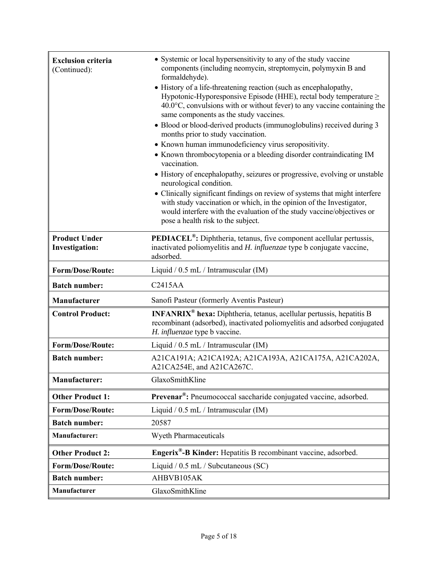| <b>Exclusion criteria</b><br>(Continued):     | • Systemic or local hypersensitivity to any of the study vaccine<br>components (including neomycin, streptomycin, polymyxin B and<br>formaldehyde).<br>• History of a life-threatening reaction (such as encephalopathy,<br>Hypotonic-Hyporesponsive Episode (HHE), rectal body temperature $\geq$<br>$40.0^{\circ}$ C, convulsions with or without fever) to any vaccine containing the<br>same components as the study vaccines.<br>• Blood or blood-derived products (immunoglobulins) received during 3<br>months prior to study vaccination.<br>• Known human immunodeficiency virus seropositivity.<br>• Known thrombocytopenia or a bleeding disorder contraindicating IM<br>vaccination.<br>• History of encephalopathy, seizures or progressive, evolving or unstable<br>neurological condition.<br>• Clinically significant findings on review of systems that might interfere<br>with study vaccination or which, in the opinion of the Investigator,<br>would interfere with the evaluation of the study vaccine/objectives or<br>pose a health risk to the subject. |
|-----------------------------------------------|----------------------------------------------------------------------------------------------------------------------------------------------------------------------------------------------------------------------------------------------------------------------------------------------------------------------------------------------------------------------------------------------------------------------------------------------------------------------------------------------------------------------------------------------------------------------------------------------------------------------------------------------------------------------------------------------------------------------------------------------------------------------------------------------------------------------------------------------------------------------------------------------------------------------------------------------------------------------------------------------------------------------------------------------------------------------------------|
| <b>Product Under</b><br><b>Investigation:</b> | <b>PEDIACEL<sup>®</sup>:</b> Diphtheria, tetanus, five component acellular pertussis,<br>inactivated poliomyelitis and H. influenzae type b conjugate vaccine,<br>adsorbed.                                                                                                                                                                                                                                                                                                                                                                                                                                                                                                                                                                                                                                                                                                                                                                                                                                                                                                      |
| <b>Form/Dose/Route:</b>                       | Liquid / 0.5 mL / Intramuscular (IM)                                                                                                                                                                                                                                                                                                                                                                                                                                                                                                                                                                                                                                                                                                                                                                                                                                                                                                                                                                                                                                             |
| <b>Batch number:</b>                          | C2415AA                                                                                                                                                                                                                                                                                                                                                                                                                                                                                                                                                                                                                                                                                                                                                                                                                                                                                                                                                                                                                                                                          |
| <b>Manufacturer</b>                           | Sanofi Pasteur (formerly Aventis Pasteur)                                                                                                                                                                                                                                                                                                                                                                                                                                                                                                                                                                                                                                                                                                                                                                                                                                                                                                                                                                                                                                        |
| <b>Control Product:</b>                       | <b>INFANRIX<sup>®</sup> hexa:</b> Diphtheria, tetanus, acellular pertussis, hepatitis B<br>recombinant (adsorbed), inactivated poliomyelitis and adsorbed conjugated<br>H. influenzae type b vaccine.                                                                                                                                                                                                                                                                                                                                                                                                                                                                                                                                                                                                                                                                                                                                                                                                                                                                            |
| <b>Form/Dose/Route:</b>                       | Liquid / $0.5$ mL / Intramuscular (IM)                                                                                                                                                                                                                                                                                                                                                                                                                                                                                                                                                                                                                                                                                                                                                                                                                                                                                                                                                                                                                                           |
| <b>Batch number:</b>                          | A21CA191A; A21CA192A; A21CA193A, A21CA175A, A21CA202A,<br>A21CA254E, and A21CA267C.                                                                                                                                                                                                                                                                                                                                                                                                                                                                                                                                                                                                                                                                                                                                                                                                                                                                                                                                                                                              |
| <b>Manufacturer:</b>                          | GlaxoSmithKline                                                                                                                                                                                                                                                                                                                                                                                                                                                                                                                                                                                                                                                                                                                                                                                                                                                                                                                                                                                                                                                                  |
| <b>Other Product 1:</b>                       | Prevenar <sup>®</sup> : Pneumococcal saccharide conjugated vaccine, adsorbed.                                                                                                                                                                                                                                                                                                                                                                                                                                                                                                                                                                                                                                                                                                                                                                                                                                                                                                                                                                                                    |
| <b>Form/Dose/Route:</b>                       | Liquid / 0.5 mL / Intramuscular (IM)                                                                                                                                                                                                                                                                                                                                                                                                                                                                                                                                                                                                                                                                                                                                                                                                                                                                                                                                                                                                                                             |
| <b>Batch number:</b>                          | 20587                                                                                                                                                                                                                                                                                                                                                                                                                                                                                                                                                                                                                                                                                                                                                                                                                                                                                                                                                                                                                                                                            |
| Manufacturer:                                 | <b>Wyeth Pharmaceuticals</b>                                                                                                                                                                                                                                                                                                                                                                                                                                                                                                                                                                                                                                                                                                                                                                                                                                                                                                                                                                                                                                                     |
| <b>Other Product 2:</b>                       | Engerix <sup>®</sup> -B Kinder: Hepatitis B recombinant vaccine, adsorbed.                                                                                                                                                                                                                                                                                                                                                                                                                                                                                                                                                                                                                                                                                                                                                                                                                                                                                                                                                                                                       |
| <b>Form/Dose/Route:</b>                       | Liquid / 0.5 mL / Subcutaneous (SC)                                                                                                                                                                                                                                                                                                                                                                                                                                                                                                                                                                                                                                                                                                                                                                                                                                                                                                                                                                                                                                              |
| <b>Batch number:</b>                          | AHBVB105AK                                                                                                                                                                                                                                                                                                                                                                                                                                                                                                                                                                                                                                                                                                                                                                                                                                                                                                                                                                                                                                                                       |
| Manufacturer                                  | GlaxoSmithKline                                                                                                                                                                                                                                                                                                                                                                                                                                                                                                                                                                                                                                                                                                                                                                                                                                                                                                                                                                                                                                                                  |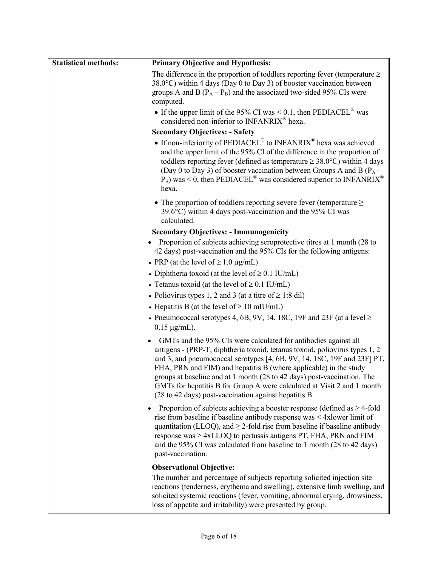| <b>Statistical methods:</b> | <b>Primary Objective and Hypothesis:</b>                                                                                                                                                                                                                                                                                                                                                                                                                                                                     |
|-----------------------------|--------------------------------------------------------------------------------------------------------------------------------------------------------------------------------------------------------------------------------------------------------------------------------------------------------------------------------------------------------------------------------------------------------------------------------------------------------------------------------------------------------------|
|                             | The difference in the proportion of toddlers reporting fever (temperature $\geq$<br>38.0°C) within 4 days (Day 0 to Day 3) of booster vaccination between<br>groups A and B $(P_A - P_B)$ and the associated two-sided 95% CIs were<br>computed.                                                                                                                                                                                                                                                             |
|                             | • If the upper limit of the 95% CI was $< 0.1$ , then PEDIACEL <sup>®</sup> was<br>considered non-inferior to INFANRIX <sup>®</sup> hexa.                                                                                                                                                                                                                                                                                                                                                                    |
|                             | <b>Secondary Objectives: - Safety</b>                                                                                                                                                                                                                                                                                                                                                                                                                                                                        |
|                             | • If non-inferiority of PEDIACEL <sup>®</sup> to INFANRIX <sup>®</sup> hexa was achieved<br>and the upper limit of the 95% CI of the difference in the proportion of<br>toddlers reporting fever (defined as temperature $\geq 38.0^{\circ}$ C) within 4 days<br>(Day 0 to Day 3) of booster vaccination between Groups A and B ( $P_A$ –<br>$P_B$ ) was < 0, then PEDIACEL <sup>®</sup> was considered superior to INFANRIX <sup>®</sup><br>hexa.                                                           |
|                             | • The proportion of toddlers reporting severe fever (temperature $\geq$<br>$39.6^{\circ}$ C) within 4 days post-vaccination and the 95% CI was<br>calculated.                                                                                                                                                                                                                                                                                                                                                |
|                             | <b>Secondary Objectives: - Immunogenicity</b>                                                                                                                                                                                                                                                                                                                                                                                                                                                                |
|                             | Proportion of subjects achieving seroprotective titres at 1 month (28 to<br>42 days) post-vaccination and the 95% CIs for the following antigens:                                                                                                                                                                                                                                                                                                                                                            |
|                             | • PRP (at the level of $\geq 1.0 \mu g/mL$ )                                                                                                                                                                                                                                                                                                                                                                                                                                                                 |
|                             | • Diphtheria toxoid (at the level of $\geq 0.1$ IU/mL)                                                                                                                                                                                                                                                                                                                                                                                                                                                       |
|                             | • Tetanus toxoid (at the level of $\geq$ 0.1 IU/mL)                                                                                                                                                                                                                                                                                                                                                                                                                                                          |
|                             | • Poliovirus types 1, 2 and 3 (at a titre of $\ge$ 1:8 dil)                                                                                                                                                                                                                                                                                                                                                                                                                                                  |
|                             | • Hepatitis B (at the level of $\geq 10$ mIU/mL)                                                                                                                                                                                                                                                                                                                                                                                                                                                             |
|                             | • Pneumococcal serotypes 4, 6B, 9V, 14, 18C, 19F and 23F (at a level $\ge$<br>$0.15 \mu g/mL$ ).                                                                                                                                                                                                                                                                                                                                                                                                             |
|                             | GMTs and the 95% CIs were calculated for antibodies against all<br>antigens - (PRP-T, diphtheria toxoid, tetanus toxoid, poliovirus types 1, 2<br>and 3, and pneumococcal serotypes [4, 6B, 9V, 14, 18C, 19F and 23F] PT,<br>FHA, PRN and FIM) and hepatitis B (where applicable) in the study<br>groups at baseline and at 1 month (28 to 42 days) post-vaccination. The<br>GMTs for hepatitis B for Group A were calculated at Visit 2 and 1 month<br>(28 to 42 days) post-vaccination against hepatitis B |
|                             | Proportion of subjects achieving a booster response (defined as $\geq$ 4-fold<br>rise from baseline if baseline antibody response was < 4xlower limit of<br>quantitation (LLOQ), and $\geq$ 2-fold rise from baseline if baseline antibody<br>response was $\geq 4xLLOQ$ to pertussis antigens PT, FHA, PRN and FIM<br>and the 95% CI was calculated from baseline to 1 month (28 to 42 days)<br>post-vaccination.                                                                                           |
|                             | <b>Observational Objective:</b>                                                                                                                                                                                                                                                                                                                                                                                                                                                                              |
|                             | The number and percentage of subjects reporting solicited injection site<br>reactions (tenderness, erythema and swelling), extensive limb swelling, and<br>solicited systemic reactions (fever, vomiting, abnormal crying, drowsiness,<br>loss of appetite and irritability) were presented by group.                                                                                                                                                                                                        |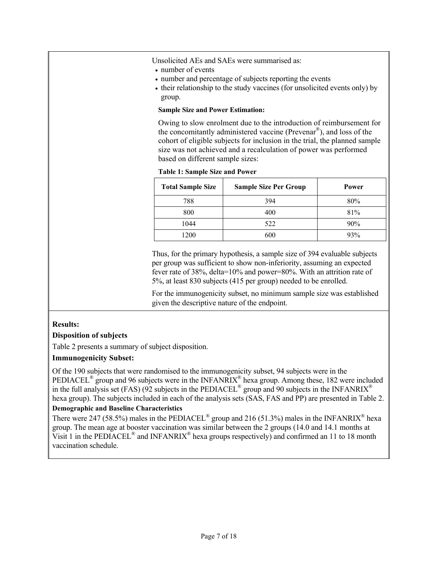Unsolicited AEs and SAEs were summarised as:

- number of events
- number and percentage of subjects reporting the events
- their relationship to the study vaccines (for unsolicited events only) by group.

#### **Sample Size and Power Estimation:**

Owing to slow enrolment due to the introduction of reimbursement for the concomitantly administered vaccine (Prevenar®), and loss of the cohort of eligible subjects for inclusion in the trial, the planned sample size was not achieved and a recalculation of power was performed based on different sample sizes:

#### **Table 1: Sample Size and Power**

| <b>Total Sample Size</b> | <b>Sample Size Per Group</b> | Power |
|--------------------------|------------------------------|-------|
| 788                      | 394                          | 80%   |
| 800                      | 400                          | 81%   |
| 1044                     | 522                          | 90%   |
| 1200                     | 600                          | 93%   |

Thus, for the primary hypothesis, a sample size of 394 evaluable subjects per group was sufficient to show non-inferiority, assuming an expected fever rate of 38%, delta=10% and power=80%. With an attrition rate of 5%, at least 830 subjects (415 per group) needed to be enrolled.

For the immunogenicity subset, no minimum sample size was established given the descriptive nature of the endpoint.

### **Results:**

### **Disposition of subjects**

Table 2 presents a summary of subject disposition.

## **Immunogenicity Subset:**

Of the 190 subjects that were randomised to the immunogenicity subset, 94 subjects were in the PEDIACEL<sup>®</sup> group and 96 subjects were in the INFANRIX<sup>®</sup> hexa group. Among these, 182 were included in the full analysis set (FAS) (92 subjects in the PEDIACEL<sup>®</sup> group and 90 subjects in the INFANRIX<sup>®</sup> hexa group). The subjects included in each of the analysis sets (SAS, FAS and PP) are presented in Table 2.

## **Demographic and Baseline Characteristics**

There were 247 (58.5%) males in the PEDIACEL<sup>®</sup> group and 216 (51.3%) males in the INFANRIX<sup>®</sup> hexa group. The mean age at booster vaccination was similar between the 2 groups (14.0 and 14.1 months at Visit 1 in the PEDIACEL® and INFANRIX® hexa groups respectively) and confirmed an 11 to 18 month vaccination schedule.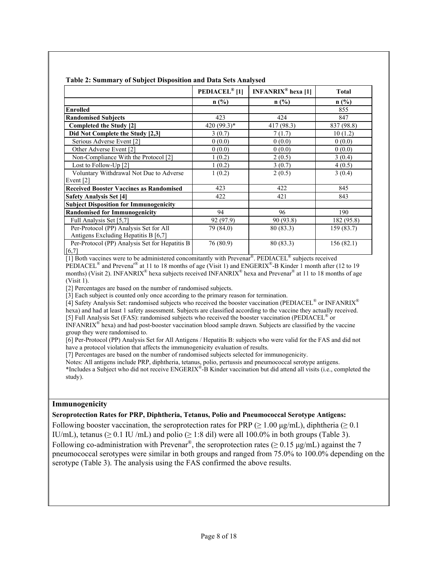|                                                | <b>PEDIACEL®</b> [1] | <b>INFANRIX<sup>®</sup></b> hexa [1] | <b>Total</b> |
|------------------------------------------------|----------------------|--------------------------------------|--------------|
|                                                | $n$ (%)              | $n$ (%)                              | n(%)         |
| <b>Enrolled</b>                                |                      |                                      | 855          |
| <b>Randomised Subjects</b>                     | 423                  | 424                                  | 847          |
| Completed the Study [2]                        | $420(99.3)*$         | 417 (98.3)                           | 837 (98.8)   |
| Did Not Complete the Study [2,3]               | 3(0.7)               | 7(1.7)                               | 10(1.2)      |
| Serious Adverse Event [2]                      | 0(0.0)               | 0(0.0)                               | 0(0.0)       |
| Other Adverse Event [2]                        | 0(0.0)               | 0(0.0)                               | 0(0.0)       |
| Non-Compliance With the Protocol [2]           | 1(0.2)               | 2(0.5)                               | 3(0.4)       |
| Lost to Follow-Up $[2]$                        | 1(0.2)               | 3(0.7)                               | 4(0.5)       |
| Voluntary Withdrawal Not Due to Adverse        | 1(0.2)               | 2(0.5)                               | 3(0.4)       |
| Event $[2]$                                    |                      |                                      |              |
| <b>Received Booster Vaccines as Randomised</b> | 423                  | 422                                  | 845          |
| <b>Safety Analysis Set [4]</b>                 | 422                  | 421                                  | 843          |
| <b>Subject Disposition for Immunogenicity</b>  |                      |                                      |              |
| <b>Randomised for Immunogenicity</b>           | 94                   | 96                                   | 190          |
| Full Analysis Set [5,7]                        | 92 (97.9)            | 90 (93.8)                            | 182 (95.8)   |
| Per-Protocol (PP) Analysis Set for All         | 79 (84.0)            | 80 (83.3)                            | 159 (83.7)   |
| Antigens Excluding Hepatitis B [6,7]           |                      |                                      |              |
| Per-Protocol (PP) Analysis Set for Hepatitis B | 76 (80.9)            | 80 (83.3)                            | 156(82.1)    |
| [6,7]                                          |                      |                                      |              |

#### **Table 2: Summary of Subject Disposition and Data Sets Analysed**

[1] Both vaccines were to be administered concomitantly with Prevenar®. PEDIACEL® subjects received PEDIACEL<sup>®</sup> and Prevena<sup>r®</sup> at 11 to 18 months of age (Visit 1) and ENGERIX<sup>®</sup>-B Kinder 1 month after (12 to 19 months) (Visit 2). INFANRIX<sup>®</sup> hexa subjects received INFANRIX<sup>®</sup> hexa and Prevenar<sup>®</sup> at 11 to 18 months of age (Visit 1).

[2] Percentages are based on the number of randomised subjects.

[3] Each subject is counted only once according to the primary reason for termination.

[4] Safety Analysis Set: randomised subjects who received the booster vaccination (PEDIACEL<sup>®</sup> or INFANRIX<sup>®</sup>

hexa) and had at least 1 safety assessment. Subjects are classified according to the vaccine they actually received.

[5] Full Analysis Set (FAS): randomised subjects who received the booster vaccination (PEDIACEL® or

INFANRIX® hexa) and had post-booster vaccination blood sample drawn. Subjects are classified by the vaccine group they were randomised to.

[6] Per-Protocol (PP) Analysis Set for All Antigens / Hepatitis B: subjects who were valid for the FAS and did not have a protocol violation that affects the immunogenicity evaluation of results.

[7] Percentages are based on the number of randomised subjects selected for immunogenicity.

Notes: All antigens include PRP, diphtheria, tetanus, polio, pertussis and pneumococcal serotype antigens.

\*Includes a Subject who did not receive ENGERIX®-B Kinder vaccination but did attend all visits (i.e., completed the study).

#### **Immunogenicity**

#### **Seroprotection Rates for PRP, Diphtheria, Tetanus, Polio and Pneumococcal Serotype Antigens:**

Following booster vaccination, the seroprotection rates for PRP ( $> 1.00 \mu g/mL$ ), diphtheria ( $> 0.1$ ) IU/mL), tetanus ( $\geq 0.1$  IU /mL) and polio ( $\geq 1:8$  dil) were all 100.0% in both groups (Table 3). Following co-administration with Prevenar<sup>®</sup>, the seroprotection rates ( $\geq 0.15 \text{ µg/mL}$ ) against the 7 pneumococcal serotypes were similar in both groups and ranged from 75.0% to 100.0% depending on the serotype (Table 3). The analysis using the FAS confirmed the above results.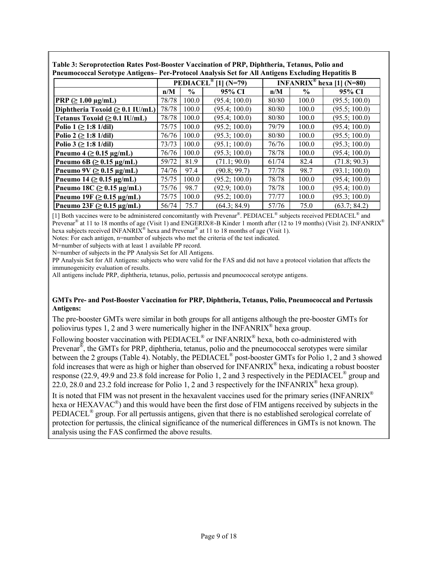| Pneumococcal Serotype Antigens– Per-Protocol Analysis Set for All Antigens Excluding Hepatitis B |       |               |                                  |                                       |               |               |  |  |
|--------------------------------------------------------------------------------------------------|-------|---------------|----------------------------------|---------------------------------------|---------------|---------------|--|--|
|                                                                                                  |       |               | PEDIACEL <sup>®</sup> [1] (N=79) | INFANRIX <sup>®</sup> hexa [1] (N=80) |               |               |  |  |
|                                                                                                  | n/M   | $\frac{6}{6}$ | 95% CI                           | n/M                                   | $\frac{6}{9}$ | 95% CI        |  |  |
| PRP $(\geq 1.00 \text{ µg/mL})$                                                                  | 78/78 | 100.0         | (95.4; 100.0)                    | 80/80                                 | 100.0         | (95.5; 100.0) |  |  |
| Diphtheria Toxoid $( \geq 0.1 \text{ IU/mL} )$                                                   | 78/78 | 100.0         | (95.4; 100.0)                    | 80/80                                 | 100.0         | (95.5; 100.0) |  |  |
| Tetanus Toxoid $( \geq 0.1 \text{ IU/mL} )$                                                      | 78/78 | 100.0         | (95.4; 100.0)                    | 80/80                                 | 100.0         | (95.5; 100.0) |  |  |
| Polio $1 \ge 1:8$ 1/dil)                                                                         | 75/75 | 100.0         | (95.2; 100.0)                    | 79/79                                 | 100.0         | (95.4; 100.0) |  |  |
| Polio 2 ( $\geq$ 1:8 1/dil)                                                                      | 76/76 | 100.0         | (95.3; 100.0)                    | 80/80                                 | 100.0         | (95.5; 100.0) |  |  |
| Polio 3 ( $\geq$ 1:8 1/dil)                                                                      | 73/73 | 100.0         | (95.1; 100.0)                    | 76/76                                 | 100.0         | (95.3; 100.0) |  |  |
| Pneumo $4 \geq 0.15 \mu g/mL$                                                                    | 76/76 | 100.0         | (95.3; 100.0)                    | 78/78                                 | 100.0         | (95.4; 100.0) |  |  |
| Pneumo 6B ( $\geq$ 0.15 µg/mL)                                                                   | 59/72 | 81.9          | (71.1; 90.0)                     | 61/74                                 | 82.4          | (71.8; 90.3)  |  |  |
| Pneumo 9V ( $\geq$ 0.15 µg/mL)                                                                   | 74/76 | 97.4          | (90.8; 99.7)                     | 77/78                                 | 98.7          | (93.1; 100.0) |  |  |
| Pneumo 14 (≥ 0.15 µg/mL)                                                                         | 75/75 | 100.0         | (95.2; 100.0)                    | 78/78                                 | 100.0         | (95.4; 100.0) |  |  |
| Pneumo $18C \geq 0.15 \mu g/mL$                                                                  | 75/76 | 98.7          | (92.9; 100.0)                    | 78/78                                 | 100.0         | (95.4; 100.0) |  |  |
| Pneumo 19F ( $\geq$ 0.15 µg/mL)                                                                  | 75/75 | 100.0         | (95.2; 100.0)                    | 77/77                                 | 100.0         | (95.3; 100.0) |  |  |
| Pneumo 23F ( $\geq$ 0.15 µg/mL)                                                                  | 56/74 | 75.7          | (64.3; 84.9)                     | 57/76                                 | 75.0          | (63.7; 84.2)  |  |  |

**Table 3: Seroprotection Rates Post-Booster Vaccination of PRP, Diphtheria, Tetanus, Polio and Pneumococcal Serotype Antigens– Per-Protocol Analysis Set for All Antigens Excluding Hepatitis B**

[1] Both vaccines were to be administered concomitantly with Prevenar®. PEDIACEL® subjects received PEDIACEL® and Prevenar<sup>®</sup> at 11 to 18 months of age (Visit 1) and ENGERIX®-B Kinder 1 month after (12 to 19 months) (Visit 2). INFANRIX<sup>®</sup> hexa subjects received INFANRIX<sup>®</sup> hexa and Prevenar<sup>®</sup> at 11 to 18 months of age (Visit 1).

Notes: For each antigen, n=number of subjects who met the criteria of the test indicated.

M=number of subjects with at least 1 available PP record.

N=number of subjects in the PP Analysis Set for All Antigens.

PP Analysis Set for All Antigens: subjects who were valid for the FAS and did not have a protocol violation that affects the immunogenicity evaluation of results.

All antigens include PRP, diphtheria, tetanus, polio, pertussis and pneumococcal serotype antigens.

#### **GMTs Pre- and Post-Booster Vaccination for PRP, Diphtheria, Tetanus, Polio, Pneumococcal and Pertussis Antigens:**

The pre-booster GMTs were similar in both groups for all antigens although the pre-booster GMTs for poliovirus types 1, 2 and 3 were numerically higher in the INFANRIX<sup>®</sup> hexa group.

Following booster vaccination with PEDIACEL<sup>®</sup> or INFANRIX<sup>®</sup> hexa, both co-administered with Prevenar<sup>®</sup>, the GMTs for PRP, diphtheria, tetanus, polio and the pneumococcal serotypes were similar between the 2 groups (Table 4). Notably, the PEDIACEL® post-booster GMTs for Polio 1, 2 and 3 showed fold increases that were as high or higher than observed for  $INFANRIX^{\circ}$  hexa, indicating a robust booster response (22.9, 49.9 and 23.8 fold increase for Polio 1, 2 and 3 respectively in the PEDIACEL® group and 22.0, 28.0 and 23.2 fold increase for Polio 1, 2 and 3 respectively for the INFANRIX® hexa group).

It is noted that FIM was not present in the hexavalent vaccines used for the primary series (INFANRIX<sup>®</sup>) hexa or HEXAVAC<sup>®</sup>) and this would have been the first dose of FIM antigens received by subjects in the PEDIACEL® group. For all pertussis antigens, given that there is no established serological correlate of protection for pertussis, the clinical significance of the numerical differences in GMTs is not known. The analysis using the FAS confirmed the above results.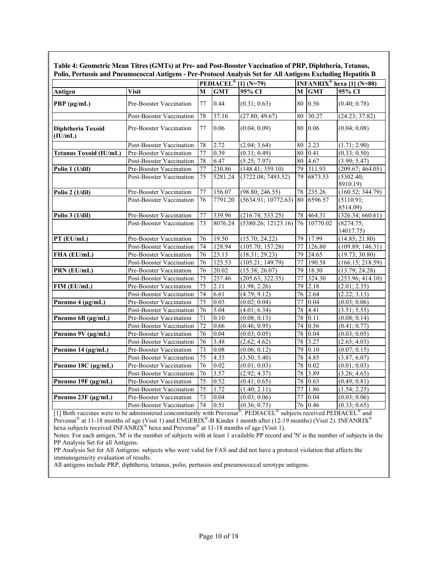| Polio, Pertussis and Pneumococcal Antigens - Per-Protocol Analysis Set for All Antigens Excluding Hepatitis B |                          |                                  |            |                     |        |             |                                       |  |  |
|---------------------------------------------------------------------------------------------------------------|--------------------------|----------------------------------|------------|---------------------|--------|-------------|---------------------------------------|--|--|
|                                                                                                               |                          | PEDIACEL <sup>®</sup> [1] (N=79) |            |                     |        |             | INFANRIX <sup>®</sup> hexa [1] (N=80) |  |  |
| Antigen                                                                                                       | <b>Visit</b>             | М                                | <b>GMT</b> | 95% CI              | M      | <b>GMT</b>  | 95% CI                                |  |  |
| $PRP$ ( $\mu$ g/mL)                                                                                           | Pre-Booster Vaccination  | 77                               | 0.44       | (0.31; 0.63)        |        | 80 0.56     | (0.40; 0.78)                          |  |  |
|                                                                                                               | Post-Booster Vaccination | 78                               | 37.16      | (27.80; 49.67)      | 80     | 30.27       | (24.23; 37.82)                        |  |  |
| Diphtheria Toxoid<br>(IU/mL)                                                                                  | Pre-Booster Vaccination  | 77                               | 0.06       | (0.04; 0.09)        |        | 80 0.06     | (0.04; 0.08)                          |  |  |
|                                                                                                               | Post-Booster Vaccination | 78                               | 2.72       | (2.04; 3.64)        | 80     | 2.23        | (1.71; 2.90)                          |  |  |
| <b>Tetanus Toxoid (IU/mL)</b>                                                                                 | Pre-Booster Vaccination  | 77                               | 0.39       | (0.31; 0.49)        | 80     | 0.41        | (0.33; 0.50)                          |  |  |
|                                                                                                               | Post-Booster Vaccination | 78                               | 6.47       | (5.25; 7.97)        | $80\,$ | 4.67        | (3.99; 5.47)                          |  |  |
| Polio $1(1/dil)$                                                                                              | Pre-Booster Vaccination  | 77                               | 230.86     | (148.41; 359.10)    | 79     | 311.93      | (209.67; 464.05)                      |  |  |
|                                                                                                               | Post-Booster Vaccination | 75                               | 5281.24    | (3722.08; 7493.52)  | 79     | 6873.53     | (5302.40;<br>8910.19)                 |  |  |
| Polio 2 (1/dil)                                                                                               | Pre-Booster Vaccination  | 77                               | 156.07     | (98.80; 246.55)     | 78     | 235.26      | (160.52; 344.79)                      |  |  |
|                                                                                                               | Post-Booster Vaccination | 76                               | 7791.20    | (5634.91; 10772.63) |        | 80 6596.57  | (5110.91;<br>8514.09)                 |  |  |
| Polio $3(1/dil)$                                                                                              | Pre-Booster Vaccination  | 77                               | 339.96     | (216.74; 533.25)    |        | 78 464.31   | (326.34; 660.61)                      |  |  |
|                                                                                                               | Post-Booster Vaccination | 73                               | 8076.24    | (5380.26; 12123.16) |        | 76 10770.02 | (8274.75;<br>14017.75)                |  |  |
| PT (EU/mL)                                                                                                    | Pre-Booster Vaccination  | 76                               | 19.50      | (15.70; 24.22)      | 79     | 17.99       | (14.85; 21.80)                        |  |  |
|                                                                                                               | Post-Booster Vaccination | 74                               | 128.94     | (105.70; 157.28)    | 77     | 126.80      | (109.89; 146.31)                      |  |  |
| FHA (EU/mL)                                                                                                   | Pre-Booster Vaccination  | 76                               | 23.13      | (18.31; 29.23)      | 79     | 24.65       | (19.73; 30.80)                        |  |  |
|                                                                                                               | Post-Booster Vaccination | 76                               | 125.53     | (105.21; 149.79)    | 77     | 190.58      | (166.15; 218.59)                      |  |  |
| PRN (EU/mL)                                                                                                   | Pre-Booster Vaccination  | 76                               | 20.02      | (15.38; 26.07)      | 79     | 18.30       | (13.79; 24.28)                        |  |  |
|                                                                                                               | Post-Booster Vaccination | 75                               | 257.46     | (205.63; 322.35)    | 77     | 324.30      | (253.96; 414.10)                      |  |  |
| FIM (EU/mL)                                                                                                   | Pre-Booster Vaccination  | $\overline{75}$                  | 2.11       | (1.98; 2.26)        | 79     | 2.18        | (2.01; 2.35)                          |  |  |
|                                                                                                               | Post-Booster Vaccination | 74                               | 6.61       | (4.79; 9.12)        | 76     | 2.64        | (2.22; 3.13)                          |  |  |
| Pneumo 4 (µg/mL)                                                                                              | Pre-Booster Vaccination  | 75                               | 0.03       | (0.02; 0.04)        | 77     | 0.04        | (0.03; 0.06)                          |  |  |
|                                                                                                               | Post-Booster Vaccination | 76                               | 5.04       | (4.01; 6.34)        | 78     | 4.41        | (3.51; 5.55)                          |  |  |
| Pneumo 6B (µg/mL)                                                                                             | Pre-Booster Vaccination  | $\overline{71}$                  | 0.10       | (0.08; 0.13)        | 78     | 0.11        | (0.08; 0.14)                          |  |  |
|                                                                                                               | Post-Booster Vaccination | $\overline{72}$                  | 0.66       | (0.46; 0.95)        | 74     | 0.56        | (0.41; 0.77)                          |  |  |
| Pneumo 9V (µg/mL)                                                                                             | Pre-Booster Vaccination  | 76                               | 0.04       | (0.03; 0.05)        | 78     | 0.04        | (0.03; 0.05)                          |  |  |
|                                                                                                               | Post-Booster Vaccination | 76                               | 3.48       | (2.62; 4.62)        | 78     | 3.27        | (2.65; 4.03)                          |  |  |
| Pneumo 14 (µg/mL)                                                                                             | Pre-Booster Vaccination  | 73                               | 0.08       | (0.06; 0.12)        | 79     | 0.10        | (0.07; 0.15)                          |  |  |
|                                                                                                               | Post-Booster Vaccination | 75                               | 4.35       | (3.50; 5.40)        | 78     | 4.85        | (3.87; 6.07)                          |  |  |
| Pneumo 18C (µg/mL)                                                                                            | Pre-Booster Vaccination  | 76                               | 0.02       | (0.01; 0.03)        | 78     | 0.02        | (0.01; 0.03)                          |  |  |
|                                                                                                               | Post-Booster Vaccination | $\overline{76}$                  | 3.57       | (2.92; 4.37)        | 78     | 3.89        | (3.26; 4.63)                          |  |  |
| Pneumo 19F (µg/mL)                                                                                            | Pre-Booster Vaccination  | $\overline{75}$                  | 0.52       | (0.41; 0.65)        | 78     | 0.63        | (0.49; 0.81)                          |  |  |
|                                                                                                               | Post-Booster Vaccination | 75                               | 1.72       | (1.40; 2.11)        | 77     | 1.86        | (1.54; 2.25)                          |  |  |
| Pneumo 23F (µg/mL)                                                                                            | Pre-Booster Vaccination  | 73                               | 0.04       | (0.03; 0.06)        | 77     | 0.04        | (0.03; 0.06)                          |  |  |
|                                                                                                               | Post-Booster Vaccination | 74                               | 0.51       | (0.36; 0.73)        |        | 76 0.46     | (0.33; 0.65)                          |  |  |

**Table 4: Geometric Mean Titres (GMTs) at Pre- and Post-Booster Vaccination of PRP, Diphtheria, Tetanus,** 

[1] Both vaccines were to be administered concomitantly with Prevenar®. PEDIACEL® subjects received PEDIACEL® and Prevenar<sup>®</sup> at 11-18 months of age (Visit 1) and ENGERIX<sup>®</sup>-B Kinder 1 month after (12-19 months) (Visit 2). INFANRIX<sup>®</sup> hexa subjects received INFANRIX<sup>®</sup> hexa and Prevenar<sup>®</sup> at 11-18 months of age (Visit 1).

Notes: For each antigen, 'M' is the number of subjects with at least 1 available PP record and 'N' is the number of subjects in the PP Analysis Set for all Antigens.

PP Analysis Set for All Antigens: subjects who were valid for FAS and did not have a protocol violation that affects the immunogenicity evaluation of results.

All antigens include PRP, diphtheria, tetanus, polio, pertussis and pneumococcal serotype antigens.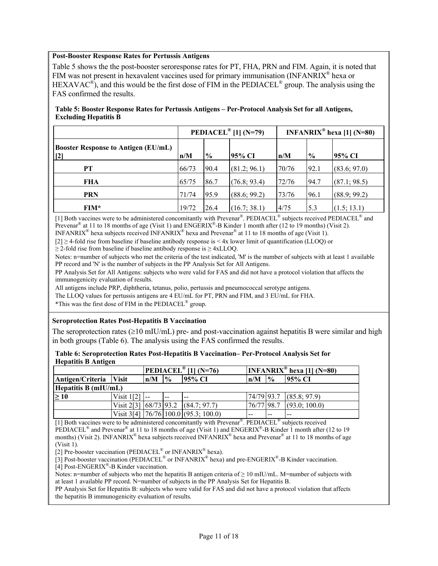#### **Post-Booster Response Rates for Pertussis Antigens**

Table 5 shows the the post-booster seroresponse rates for PT, FHA, PRN and FIM. Again, it is noted that FIM was not present in hexavalent vaccines used for primary immunisation (INFANRIX<sup>®</sup> hexa or  $HEXAVAC^{\circledast}$ , and this would be the first dose of FIM in the PEDIACEL<sup>®</sup> group. The analysis using the FAS confirmed the results.

#### **Table 5: Booster Response Rates for Pertussis Antigens – Per-Protocol Analysis Set for all Antigens, Excluding Hepatitis B**

|                                                     |       |               | PEDIACEL <sup>®</sup> [1] (N=79) | <b>INFANRIX<sup>®</sup> hexa</b> [1] (N=80) |               |              |
|-----------------------------------------------------|-------|---------------|----------------------------------|---------------------------------------------|---------------|--------------|
| <b>Booster Response to Antigen (EU/mL)</b><br>$[2]$ | n/M   | $\frac{0}{0}$ | 95% CI                           | n/M                                         | $\frac{0}{0}$ | 95% CI       |
| PТ                                                  | 66/73 | 90.4          | (81.2; 96.1)                     | 70/76                                       | 92.1          | (83.6; 97.0) |
| FHA                                                 | 65/75 | 86.7          | (76.8; 93.4)                     | 72/76                                       | 94.7          | (87.1; 98.5) |
| <b>PRN</b>                                          | 71/74 | 95.9          | (88.6; 99.2)                     | 73/76                                       | 96.1          | (88.9; 99.2) |
| FIM*                                                | 19/72 | 26.4          | (16.7; 38.1)                     | 4/75                                        | 5.3           | (1.5; 13.1)  |

[1] Both vaccines were to be administered concomitantly with Prevenar<sup>®</sup>. PEDIACEL<sup>®</sup> subjects received PEDIACEL<sup>®</sup> and Prevenar<sup>®</sup> at 11 to 18 months of age (Visit 1) and ENGERIX<sup>®</sup>-B Kinder 1 month after (12 to 19 months) (Visit 2).

INFANRIX<sup>®</sup> hexa subjects received INFANRIX<sup>®</sup> hexa and Prevenar<sup>®</sup> at 11 to 18 months of age (Visit 1).

[2] ≥ 4-fold rise from baseline if baseline antibody response is < 4x lower limit of quantification (LLOQ) or  $\geq$  2-fold rise from baseline if baseline antibody response is  $\geq$  4xLLOQ.

Notes: n=number of subjects who met the criteria of the test indicated, 'M' is the number of subjects with at least 1 available PP record and 'N' is the number of subjects in the PP Analysis Set for All Antigens.

PP Analysis Set for All Antigens: subjects who were valid for FAS and did not have a protocol violation that affects the immunogenicity evaluation of results.

All antigens include PRP, diphtheria, tetanus, polio, pertussis and pneumococcal serotype antigens.

The LLOQ values for pertussis antigens are 4 EU/mL for PT, PRN and FIM, and 3 EU/mL for FHA.

\*This was the first dose of FIM in the PEDIACEL® group.

### **Seroprotection Rates Post-Hepatitis B Vaccination**

The seroprotection rates ( $\geq 10$  mIU/mL) pre- and post-vaccination against hepatitis B were similar and high in both groups (Table 6). The analysis using the FAS confirmed the results.

| Table 6: Seroprotection Rates Post-Hepatitis B Vaccination– Per-Protocol Analysis Set for |  |
|-------------------------------------------------------------------------------------------|--|
| <b>Hepatitis B Antigen</b>                                                                |  |

|                        |                        | PEDIACEL <sup>®</sup> [1] (N=76) |               |                                                                    | INFANRIX <sup>®</sup> hexa [1] (N=80) |               |                         |  |  |
|------------------------|------------------------|----------------------------------|---------------|--------------------------------------------------------------------|---------------------------------------|---------------|-------------------------|--|--|
| Antigen/Criteria Visit |                        | n/M                              | $\frac{6}{6}$ | 195% CI                                                            | n/M                                   | $\frac{0}{0}$ | <b>95% CI</b>           |  |  |
| Hepatitis $B$ (mIU/mL) |                        |                                  |               |                                                                    |                                       |               |                         |  |  |
| >10                    | Visit 1 <sup>[2]</sup> |                                  | <u>.</u>      | $- -$                                                              |                                       |               | 74/79 93.7 (85.8; 97.9) |  |  |
|                        |                        |                                  |               | Visit 2[3] $\left  68/73 \right  93.2 \left  (84.7; 97.7) \right $ | 76/77 98.7                            |               | (93.0; 100.0)           |  |  |
|                        |                        |                                  |               | Visit 3[4] $ 76/76 100.0 $ (95.3; 100.0)                           | $- -$                                 | $- -$         | $- -$                   |  |  |

[1] Both vaccines were to be administered concomitantly with Prevenar<sup>®</sup>. PEDIACEL<sup>®</sup> subjects received PEDIACEL<sup>®</sup> and Prevenar<sup>®</sup> at 11 to 18 months of age (Visit 1) and ENGERIX<sup>®</sup>-B Kinder 1 month after (12 to 19 months) (Visit 2). INFANRIX<sup>®</sup> hexa subjects received INFANRIX<sup>®</sup> hexa and Prevenar<sup>®</sup> at 11 to 18 months of age (Visit 1).

[2] Pre-booster vaccination (PEDIACEL<sup>®</sup> or INFANRIX<sup>®</sup> hexa).

[3] Post-booster vaccination (PEDIACEL<sup>®</sup> or INFANRIX<sup>®</sup> hexa) and pre-ENGERIX<sup>®</sup>-B Kinder vaccination.

[4] Post-ENGERIX®-B Kinder vaccination.

Notes: n=number of subjects who met the hepatitis B antigen criteria of  $\geq 10$  mIU/mL. M=number of subjects with at least 1 available PP record. N=number of subjects in the PP Analysis Set for Hepatitis B.

PP Analysis Set for Hepatitis B: subjects who were valid for FAS and did not have a protocol violation that affects the hepatitis B immunogenicity evaluation of results.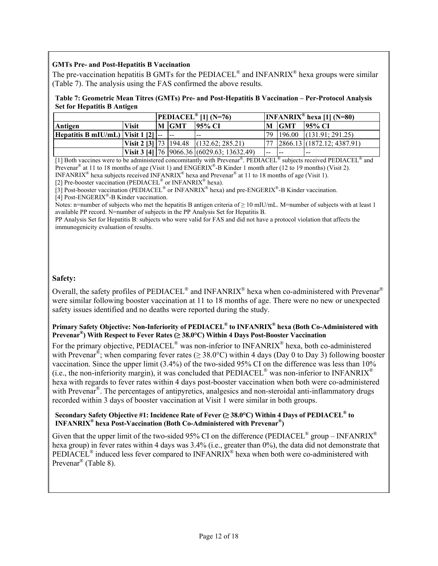### **GMTs Pre- and Post-Hepatitis B Vaccination**

The pre-vaccination hepatitis B GMTs for the PEDIACEL<sup>®</sup> and INFANRIX<sup>®</sup> hexa groups were similar (Table 7). The analysis using the FAS confirmed the above results.

#### **Table 7: Geometric Mean Titres (GMTs) Pre- and Post-Hepatitis B Vaccination – Per-Protocol Analysis Set for Hepatitis B Antigen**

|                                            |              | <b>PEDIACEL</b> <sup>®</sup> [1] (N=76) |       |                                                        |  | INFANRIX <sup>®</sup> hexa [1] (N=80) |                                  |  |  |
|--------------------------------------------|--------------|-----------------------------------------|-------|--------------------------------------------------------|--|---------------------------------------|----------------------------------|--|--|
| Antigen                                    | <b>Visit</b> |                                         | M GMT | 195% CI                                                |  | M IGMT                                | 195% CI                          |  |  |
| Hepatitis B mIU/mL)   Visit $1 \, [2]$  -- |              |                                         |       | $- -$                                                  |  |                                       | $ 79 196.00 $ $(131.91; 291.25)$ |  |  |
|                                            |              |                                         |       | Visit 2 [3] $\vert$ 73   194.48   (132.62; 285.21)     |  |                                       | 77 2866.13 (1872.12; 4387.91)    |  |  |
|                                            |              |                                         |       | Visit 3 [4] $\vert$ 76   9066.36   (6029.63; 13632.49) |  | .                                     | --                               |  |  |

[1] Both vaccines were to be administered concomitantly with Prevenar®. PEDIACEL® subjects received PEDIACEL® and Prevenar<sup>®</sup> at 11 to 18 months of age (Visit 1) and  $ENGERIX^®-B$  Kinder 1 month after (12 to 19 months) (Visit 2). INFANRIX® hexa subjects received INFANRIX® hexa and Prevenar® at 11 to 18 months of age (Visit 1).

[2] Pre-booster vaccination (PEDIACEL<sup>®</sup> or INFANRIX<sup>®</sup> hexa).

[3] Post-booster vaccination (PEDIACEL<sup>®</sup> or INFANRIX<sup>®</sup> hexa) and pre-ENGERIX<sup>®</sup>-B Kinder vaccination.

[4] Post-ENGERIX®-B Kinder vaccination.

Notes: n=number of subjects who met the hepatitis B antigen criteria of  $\geq 10$  mIU/mL. M=number of subjects with at least 1 available PP record. N=number of subjects in the PP Analysis Set for Hepatitis B.

PP Analysis Set for Hepatitis B: subjects who were valid for FAS and did not have a protocol violation that affects the immunogenicity evaluation of results.

## **Safety:**

Overall, the safety profiles of PEDIACEL<sup>®</sup> and INFANRIX<sup>®</sup> hexa when co-administered with Prevenar<sup>®</sup> were similar following booster vaccination at 11 to 18 months of age. There were no new or unexpected safety issues identified and no deaths were reported during the study.

## **Primary Safety Objective: Non-Inferiority of PEDIACEL® to INFANRIX® hexa (Both Co-Administered with Prevenar®) With Respect to Fever Rates (≥ 38.0°C) Within 4 Days Post-Booster Vaccination**

For the primary objective, PEDIACEL<sup>®</sup> was non-inferior to INFANRIX<sup>®</sup> hexa, both co-administered with Prevenar<sup>®</sup>; when comparing fever rates ( $\geq$  38.0°C) within 4 days (Day 0 to Day 3) following booster vaccination. Since the upper limit (3.4%) of the two-sided 95% CI on the difference was less than 10% (i.e., the non-inferiority margin), it was concluded that PEDIACEL® was non-inferior to INFANRIX® hexa with regards to fever rates within 4 days post-booster vaccination when both were co-administered with Prevenar<sup>®</sup>. The percentages of antipyretics, analgesics and non-steroidal anti-inflammatory drugs recorded within 3 days of booster vaccination at Visit 1 were similar in both groups.

#### **Secondary Safety Objective #1: Incidence Rate of Fever (≥ 38.0°C) Within 4 Days of PEDIACEL® to INFANRIX® hexa Post-Vaccination (Both Co-Administered with Prevenar®)**

Given that the upper limit of the two-sided 95% CI on the difference (PEDIACEL<sup>®</sup> group – INFANRIX<sup>®</sup> hexa group) in fever rates within 4 days was 3.4% (i.e., greater than 0%), the data did not demonstrate that PEDIACEL<sup>®</sup> induced less fever compared to INFANRIX<sup>®</sup> hexa when both were co-administered with Prevenar® (Table 8).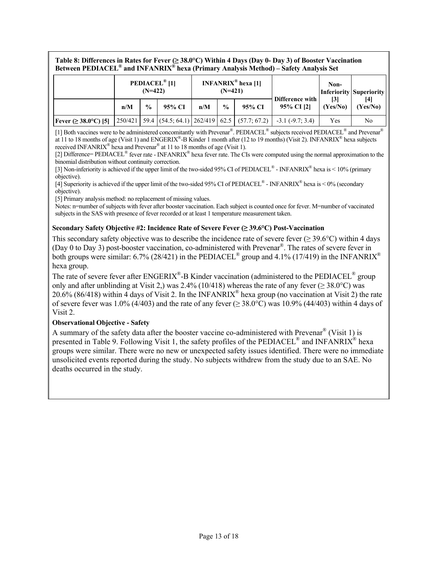**Table 8: Differences in Rates for Fever (≥ 38.0°C) Within 4 Days (Day 0- Day 3) of Booster Vaccination Between PEDIACEL® and INFANRIX® hexa (Primary Analysis Method) – Safety Analysis Set** 

|                                   |     | $(N=422)$     | <b>PEDIACEL<sup>®</sup></b> [1] |     | $(N=421)$     | <b>INFANRIX<sup>®</sup> hexa</b> [1] |                                                                                         | Non-     | <b>Inferiority Superiority</b> |
|-----------------------------------|-----|---------------|---------------------------------|-----|---------------|--------------------------------------|-----------------------------------------------------------------------------------------|----------|--------------------------------|
|                                   | n/M | $\frac{0}{0}$ | 95% CI                          | n/M | $\frac{0}{0}$ | 95% CI                               | Difference with<br>95% CI [2]                                                           | (Yes/No) | [4]<br>(Yes/No)                |
| <b>Fever</b> ( $\geq$ 38.0°C) [5] |     |               |                                 |     |               |                                      | $\mid$ 250/421   59.4   (54.5; 64.1)   262/419   62.5   (57.7; 67.2)   -3.1 (-9.7; 3.4) | Yes      | No                             |

[1] Both vaccines were to be administered concomitantly with Prevenar®. PEDIACEL® subjects received PEDIACEL® and Prevenar® at 11 to 18 months of age (Visit 1) and ENGERIX®-B Kinder 1 month after (12 to 19 months) (Visit 2). INFANRIX® hexa subjects received INFANRIX<sup>®</sup> hexa and Prevenar<sup>®</sup> at 11 to 18 months of age (Visit 1).

[2] Difference= PEDIACEL<sup>®</sup> fever rate - INFANRIX<sup>®</sup> hexa fever rate. The CIs were computed using the normal approximation to the binomial distribution without continuity correction.

[3] Non-inferiority is achieved if the upper limit of the two-sided 95% CI of PEDIACEL<sup>®</sup> - INFANRIX<sup>®</sup> hexa is < 10% (primary objective).

[4] Superiority is achieved if the upper limit of the two-sided 95% CI of PEDIACEL<sup>®</sup> - INFANRIX<sup>®</sup> hexa is < 0% (secondary objective).

[5] Primary analysis method: no replacement of missing values.

Notes: n=number of subjects with fever after booster vaccination. Each subject is counted once for fever. M=number of vaccinated subjects in the SAS with presence of fever recorded or at least 1 temperature measurement taken.

### **Secondary Safety Objective #2: Incidence Rate of Severe Fever (≥ 39.6°C) Post-Vaccination**

This secondary safety objective was to describe the incidence rate of severe fever ( $\geq$  39.6°C) within 4 days (Day 0 to Day 3) post-booster vaccination, co-administered with Prevenar®. The rates of severe fever in both groups were similar: 6.7% (28/421) in the PEDIACEL<sup>®</sup> group and 4.1% (17/419) in the INFANRIX<sup>®</sup> hexa group.

The rate of severe fever after ENGERIX<sup>®</sup>-B Kinder vaccination (administered to the PEDIACEL<sup>®</sup> group only and after unblinding at Visit 2,) was 2.4% (10/418) whereas the rate of any fever ( $\geq$  38.0°C) was 20.6% (86/418) within 4 days of Visit 2. In the INFANRIX® hexa group (no vaccination at Visit 2) the rate of severe fever was 1.0% (4/403) and the rate of any fever ( $\geq$  38.0°C) was 10.9% (44/403) within 4 days of Visit 2.

### **Observational Objective - Safety**

A summary of the safety data after the booster vaccine co-administered with Prevenar<sup>®</sup> (Visit 1) is presented in Table 9. Following Visit 1, the safety profiles of the PEDIACEL<sup>®</sup> and INFANRIX<sup>®</sup> hexa groups were similar. There were no new or unexpected safety issues identified. There were no immediate unsolicited events reported during the study. No subjects withdrew from the study due to an SAE. No deaths occurred in the study.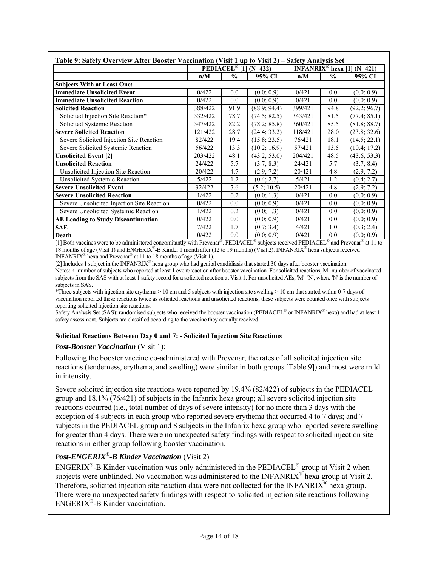|                                            |         |               | PEDIACEL <sup>®</sup> [1] (N=422) | INFANRIX <sup>®</sup> hexa [1] (N=421) |               |              |  |
|--------------------------------------------|---------|---------------|-----------------------------------|----------------------------------------|---------------|--------------|--|
|                                            | n/M     | $\frac{0}{0}$ | 95% CI                            | n/M                                    | $\frac{0}{0}$ | 95% CI       |  |
| <b>Subjects With at Least One:</b>         |         |               |                                   |                                        |               |              |  |
| <b>Immediate Unsolicited Event</b>         | 0/422   | 0.0           | (0.0; 0.9)                        | 0/421                                  | 0.0           | (0.0; 0.9)   |  |
| <b>Immediate Unsolicited Reaction</b>      | 0/422   | 0.0           | (0.0; 0.9)                        | 0/421                                  | 0.0           | (0.0; 0.9)   |  |
| <b>Solicited Reaction</b>                  | 388/422 | 91.9          | (88.9; 94.4)                      | 399/421                                | 94.8          | (92.2; 96.7) |  |
| Solicited Injection Site Reaction*         | 332/422 | 78.7          | (74.5; 82.5)                      | 343/421                                | 81.5          | (77.4; 85.1) |  |
| Solicited Systemic Reaction                | 347/422 | 82.2          | (78.2; 85.8)                      | 360/421                                | 85.5          | (81.8; 88.7) |  |
| <b>Severe Solicited Reaction</b>           | 121/422 | 28.7          | (24.4; 33.2)                      | 118/421                                | 28.0          | (23.8; 32.6) |  |
| Severe Solicited Injection Site Reaction   | 82/422  | 19.4          | (15.8; 23.5)                      | 76/421                                 | 18.1          | (14.5; 22.1) |  |
| Severe Solicited Systemic Reaction         | 56/422  | 13.3          | (10.2; 16.9)                      | 57/421                                 | 13.5          | (10.4; 17.2) |  |
| <b>Unsolicited Event [2]</b>               | 203/422 | 48.1          | (43.2; 53.0)                      | 204/421                                | 48.5          | (43.6; 53.3) |  |
| <b>Unsolicited Reaction</b>                | 24/422  | 5.7           | (3.7; 8.3)                        | 24/421                                 | 5.7           | (3.7; 8.4)   |  |
| Unsolicited Injection Site Reaction        | 20/422  | 4.7           | (2.9; 7.2)                        | 20/421                                 | 4.8           | (2.9; 7.2)   |  |
| <b>Unsolicited Systemic Reaction</b>       | 5/422   | 1.2           | (0.4; 2.7)                        | 5/421                                  | 1.2           | (0.4; 2.7)   |  |
| <b>Severe Unsolicited Event</b>            | 32/422  | 7.6           | (5.2; 10.5)                       | 20/421                                 | 4.8           | (2.9; 7.2)   |  |
| <b>Severe Unsolicited Reaction</b>         | 1/422   | 0.2           | (0.0; 1.3)                        | 0/421                                  | $0.0\,$       | (0.0; 0.9)   |  |
| Severe Unsolicited Injection Site Reaction | 0/422   | 0.0           | (0.0; 0.9)                        | 0/421                                  | 0.0           | (0.0; 0.9)   |  |
| Severe Unsolicited Systemic Reaction       | 1/422   | 0.2           | (0.0; 1.3)                        | 0/421                                  | 0.0           | (0.0; 0.9)   |  |
| <b>AE Leading to Study Discontinuation</b> | 0/422   | 0.0           | (0.0; 0.9)                        | 0/421                                  | 0.0           | (0.0; 0.9)   |  |
| <b>SAE</b>                                 | 7/422   | 1.7           | (0.7; 3.4)                        | 4/421                                  | 1.0           | (0.3; 2.4)   |  |
| Death                                      | 0/422   | 0.0           | (0.0; 0.9)                        | 0/421                                  | 0.0           | (0.0; 0.9)   |  |

[1] Both vaccines were to be administered concomitantly with Prevenar®. PEDIACEL<sup>®</sup> subjects received PEDIACEL<sup>®</sup> and Prevenar<sup>®</sup> at 11 to 18 months of age (Visit 1) and ENGERIX®-B Kinder 1 month after (12 to 19 months) (Visit 2). INFANRIX® hexa subjects received INFANRIX<sup>®</sup> hexa and Prevenar<sup>®</sup> at 11 to 18 months of age (Visit 1).

[2] Includes 1 subject in the INFANRIX<sup>®</sup> hexa group who had genital candidiasis that started 30 days after booster vaccination. Notes: n=number of subjects who reported at least 1 event/reaction after booster vaccination. For solicited reactions, M=number of vaccinated subjects from the SAS with at least 1 safety record for a solicited reaction at Visit 1. For unsolicited AEs, 'M'='N', where 'N' is the number of subjects in SAS.

\*Three subjects with injection site erythema > 10 cm and 5 subjects with injection site swelling > 10 cm that started within 0-7 days of vaccination reported these reactions twice as solicited reactions and unsolicited reactions; these subjects were counted once with subjects reporting solicited injection site reactions.

Safety Analysis Set (SAS): randomised subjects who received the booster vaccination (PEDIACEL® or INFANRIX® hexa) and had at least 1 safety assessment. Subjects are classified according to the vaccine they actually received.

### **Solicited Reactions Between Day 0 and 7: - Solicited Injection Site Reactions**

## *Post-Booster Vaccination* (Visit 1):

Following the booster vaccine co-administered with Prevenar, the rates of all solicited injection site reactions (tenderness, erythema, and swelling) were similar in both groups [Table 9]) and most were mild in intensity.

Severe solicited injection site reactions were reported by 19.4% (82/422) of subjects in the PEDIACEL group and 18.1% (76/421) of subjects in the Infanrix hexa group; all severe solicited injection site reactions occurred (i.e., total number of days of severe intensity) for no more than 3 days with the exception of 4 subjects in each group who reported severe erythema that occurred 4 to 7 days; and 7 subjects in the PEDIACEL group and 8 subjects in the Infanrix hexa group who reported severe swelling for greater than 4 days. There were no unexpected safety findings with respect to solicited injection site reactions in either group following booster vaccination.

## *Post-ENGERIX®-B Kinder Vaccination* (Visit 2)

ENGERIX®-B Kinder vaccination was only administered in the PEDIACEL® group at Visit 2 when subjects were unblinded. No vaccination was administered to the INFANRIX<sup>®</sup> hexa group at Visit 2. Therefore, solicited injection site reaction data were not collected for the INFANRIX® hexa group. There were no unexpected safety findings with respect to solicited injection site reactions following ENGERIX®-B Kinder vaccination.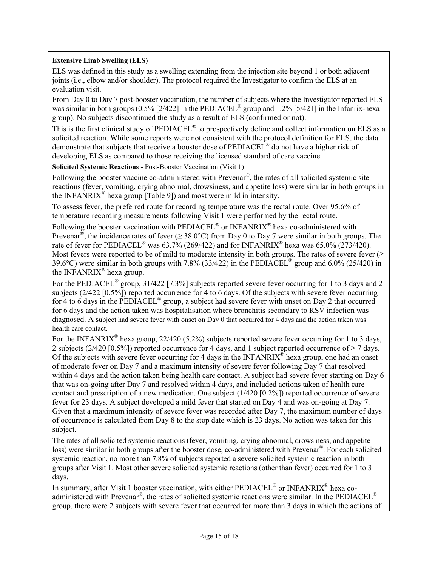## **Extensive Limb Swelling (ELS)**

ELS was defined in this study as a swelling extending from the injection site beyond 1 or both adjacent joints (i.e., elbow and/or shoulder). The protocol required the Investigator to confirm the ELS at an evaluation visit.

From Day 0 to Day 7 post-booster vaccination, the number of subjects where the Investigator reported ELS was similar in both groups (0.5% [2/422] in the PEDIACEL<sup>®</sup> group and 1.2% [5/421] in the Infanrix-hexa group). No subjects discontinued the study as a result of ELS (confirmed or not).

This is the first clinical study of PEDIACEL® to prospectively define and collect information on ELS as a solicited reaction. While some reports were not consistent with the protocol definition for ELS, the data demonstrate that subjects that receive a booster dose of PEDIACEL® do not have a higher risk of developing ELS as compared to those receiving the licensed standard of care vaccine.

**Solicited Systemic Reactions -** Post-Booster Vaccination (Visit 1)

Following the booster vaccine co-administered with Prevenar®, the rates of all solicited systemic site reactions (fever, vomiting, crying abnormal, drowsiness, and appetite loss) were similar in both groups in the INFANRIX<sup>®</sup> hexa group [Table 9]) and most were mild in intensity.

To assess fever, the preferred route for recording temperature was the rectal route. Over 95.6% of temperature recording measurements following Visit 1 were performed by the rectal route.

Following the booster vaccination with PEDIACEL<sup>®</sup> or INFANRIX<sup>®</sup> hexa co-administered with Prevenar<sup>®</sup>, the incidence rates of fever ( $\geq 38.0^{\circ}$ C) from Day 0 to Day 7 were similar in both groups. The rate of fever for PEDIACEL<sup>®</sup> was 63.7% (269/422) and for INFANRIX<sup>®</sup> hexa was 65.0% (273/420). Most fevers were reported to be of mild to moderate intensity in both groups. The rates of severe fever  $(\geq$ 39.6°C) were similar in both groups with 7.8% (33/422) in the PEDIACEL® group and 6.0% (25/420) in the INFANRIX® hexa group.

For the PEDIACEL<sup>®</sup> group, 31/422 [7.3%] subjects reported severe fever occurring for 1 to 3 days and 2 subjects (2/422 [0.5%]) reported occurrence for 4 to 6 days. Of the subjects with severe fever occurring for 4 to 6 days in the PEDIACEL<sup>®</sup> group, a subject had severe fever with onset on Day 2 that occurred for 6 days and the action taken was hospitalisation where bronchitis secondary to RSV infection was diagnosed. A subject had severe fever with onset on Day 0 that occurred for 4 days and the action taken was health care contact.

For the INFANRIX<sup>®</sup> hexa group, 22/420 (5.2%) subjects reported severe fever occurring for 1 to 3 days, 2 subjects  $(2/420 [0.5\%])$  reported occurrence for 4 days, and 1 subject reported occurrence of  $> 7$  days. Of the subjects with severe fever occurring for 4 days in the  $INFANRIX^{\omega}$  hexa group, one had an onset of moderate fever on Day 7 and a maximum intensity of severe fever following Day 7 that resolved within 4 days and the action taken being health care contact. A subject had severe fever starting on Day 6 that was on-going after Day 7 and resolved within 4 days, and included actions taken of health care contact and prescription of a new medication. One subject (1/420 [0.2%]) reported occurrence of severe fever for 23 days. A subject developed a mild fever that started on Day 4 and was on-going at Day 7. Given that a maximum intensity of severe fever was recorded after Day 7, the maximum number of days of occurrence is calculated from Day 8 to the stop date which is 23 days. No action was taken for this subject.

The rates of all solicited systemic reactions (fever, vomiting, crying abnormal, drowsiness, and appetite loss) were similar in both groups after the booster dose, co-administered with Prevenar®. For each solicited systemic reaction, no more than 7.8% of subjects reported a severe solicited systemic reaction in both groups after Visit 1. Most other severe solicited systemic reactions (other than fever) occurred for 1 to 3 days.

In summary, after Visit 1 booster vaccination, with either  $\text{PEDIACEL}^{\otimes}$  or INFANRIX<sup>®</sup> hexa coadministered with Prevenar<sup>®</sup>, the rates of solicited systemic reactions were similar. In the PEDIACEL<sup>®</sup> group, there were 2 subjects with severe fever that occurred for more than 3 days in which the actions of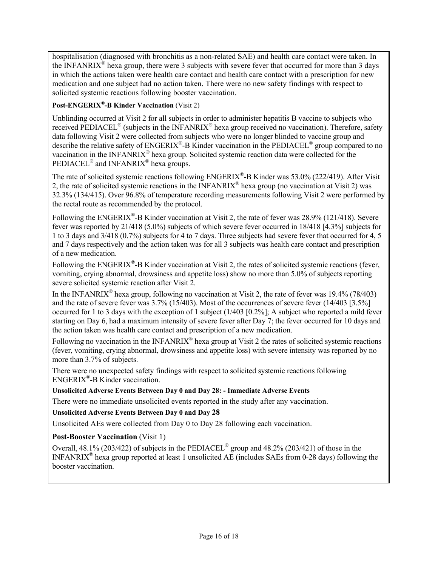hospitalisation (diagnosed with bronchitis as a non-related SAE) and health care contact were taken. In the INFANRIX<sup>®</sup> hexa group, there were 3 subjects with severe fever that occurred for more than 3 days in which the actions taken were health care contact and health care contact with a prescription for new medication and one subject had no action taken. There were no new safety findings with respect to solicited systemic reactions following booster vaccination.

# **Post-ENGERIX®-B Kinder Vaccination** (Visit 2)

Unblinding occurred at Visit 2 for all subjects in order to administer hepatitis B vaccine to subjects who received PEDIACEL<sup>®</sup> (subjects in the INFANRIX<sup>®</sup> hexa group received no vaccination). Therefore, safety data following Visit 2 were collected from subjects who were no longer blinded to vaccine group and describe the relative safety of ENGERIX<sup>®</sup>-B Kinder vaccination in the PEDIACEL<sup>®</sup> group compared to no vaccination in the INFANRIX® hexa group. Solicited systemic reaction data were collected for the PEDIACEL<sup>®</sup> and INFANRIX<sup>®</sup> hexa groups.

The rate of solicited systemic reactions following ENGERIX<sup>®</sup>-B Kinder was 53.0% (222/419). After Visit 2, the rate of solicited systemic reactions in the INFANRIX® hexa group (no vaccination at Visit 2) was 32.3% (134/415). Over 96.8% of temperature recording measurements following Visit 2 were performed by the rectal route as recommended by the protocol.

Following the ENGERIX®-B Kinder vaccination at Visit 2, the rate of fever was 28.9% (121/418). Severe fever was reported by 21/418 (5.0%) subjects of which severe fever occurred in 18/418 [4.3%] subjects for 1 to 3 days and 3/418 (0.7%) subjects for 4 to 7 days. Three subjects had severe fever that occurred for 4, 5 and 7 days respectively and the action taken was for all 3 subjects was health care contact and prescription of a new medication.

Following the  $ENGERIX^{\omega}$ -B Kinder vaccination at Visit 2, the rates of solicited systemic reactions (fever, vomiting, crying abnormal, drowsiness and appetite loss) show no more than 5.0% of subjects reporting severe solicited systemic reaction after Visit 2.

In the INFANRIX<sup>®</sup> hexa group, following no vaccination at Visit 2, the rate of fever was 19.4% (78/403) and the rate of severe fever was 3.7% (15/403). Most of the occurrences of severe fever (14/403 [3.5%] occurred for 1 to 3 days with the exception of 1 subject (1/403 [0.2%]; A subject who reported a mild fever starting on Day 6, had a maximum intensity of severe fever after Day 7; the fever occurred for 10 days and the action taken was health care contact and prescription of a new medication.

Following no vaccination in the INFANRIX<sup>®</sup> hexa group at Visit 2 the rates of solicited systemic reactions (fever, vomiting, crying abnormal, drowsiness and appetite loss) with severe intensity was reported by no more than 3.7% of subjects.

There were no unexpected safety findings with respect to solicited systemic reactions following ENGERIX®-B Kinder vaccination.

## **Unsolicited Adverse Events Between Day 0 and Day 28: - Immediate Adverse Events**

There were no immediate unsolicited events reported in the study after any vaccination.

**Unsolicited Adverse Events Between Day 0 and Day 28** 

Unsolicited AEs were collected from Day 0 to Day 28 following each vaccination.

## **Post-Booster Vaccination (Visit 1)**

Overall, 48.1% (203/422) of subjects in the PEDIACEL® group and 48.2% (203/421) of those in the INFANRIX® hexa group reported at least 1 unsolicited AE (includes SAEs from 0-28 days) following the booster vaccination.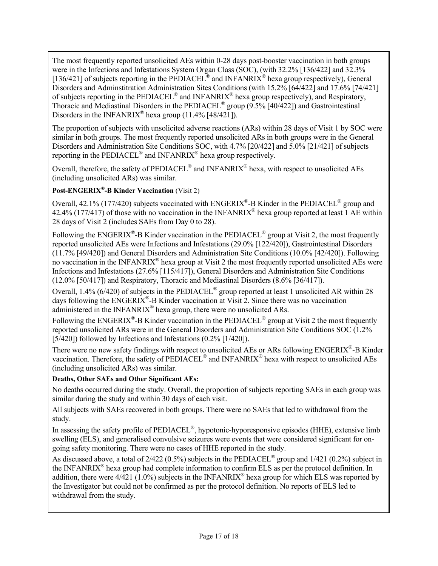The most frequently reported unsolicited AEs within 0-28 days post-booster vaccination in both groups were in the Infections and Infestations System Organ Class (SOC), (with 32.2% [136/422] and 32.3% [136/421] of subjects reporting in the PEDIACEL<sup>®</sup> and INFANRIX<sup>®</sup> hexa group respectively), General Disorders and Adminstitration Administration Sites Conditions (with 15.2% [64/422] and 17.6% [74/421] of subjects reporting in the  $\rm{PEDIACEL}^{\otimes}$  and  $\rm{INFANRIX}^{\otimes}$  hexa group respectively), and Respiratory, Thoracic and Mediastinal Disorders in the PEDIACEL® group (9.5% [40/422]) and Gastrointestinal Disorders in the INFANRIX<sup>®</sup> hexa group  $(11.4\%$  [48/421]).

The proportion of subjects with unsolicited adverse reactions (ARs) within 28 days of Visit 1 by SOC were similar in both groups. The most frequently reported unsolicited ARs in both groups were in the General Disorders and Administration Site Conditions SOC, with 4.7% [20/422] and 5.0% [21/421] of subjects reporting in the PEDIACEL® and INFANRIX® hexa group respectively.

Overall, therefore, the safety of PEDIACEL® and INFANRIX® hexa, with respect to unsolicited AEs (including unsolicited ARs) was similar.

# **Post-ENGERIX®-B Kinder Vaccination** (Visit 2)

Overall, 42.1% (177/420) subjects vaccinated with ENGERIX®-B Kinder in the PEDIACEL® group and 42.4% (177/417) of those with no vaccination in the INFANRIX<sup>®</sup> hexa group reported at least 1 AE within 28 days of Visit 2 (includes SAEs from Day 0 to 28).

Following the ENGERIX<sup>®</sup>-B Kinder vaccination in the PEDIACEL<sup>®</sup> group at Visit 2, the most frequently reported unsolicited AEs were Infections and Infestations (29.0% [122/420]), Gastrointestinal Disorders (11.7% [49/420]) and General Disorders and Administration Site Conditions (10.0% [42/420]). Following no vaccination in the INFANRIX® hexa group at Visit 2 the most frequently reported unsolicited AEs were Infections and Infestations (27.6% [115/417]), General Disorders and Administration Site Conditions (12.0% [50/417]) and Respiratory, Thoracic and Mediastinal Disorders (8.6% [36/417]).

Overall, 1.4% (6/420) of subjects in the PEDIACEL® group reported at least 1 unsolicited AR within 28 days following the  $\widehat{ENGERIX}^*$ -B Kinder vaccination at Visit 2. Since there was no vaccination administered in the INFANRIX® hexa group, there were no unsolicited ARs.

Following the ENGERIX<sup>®</sup>-B Kinder vaccination in the PEDIACEL<sup>®</sup> group at Visit 2 the most frequently reported unsolicited ARs were in the General Disorders and Administration Site Conditions SOC (1.2% [5/420]) followed by Infections and Infestations (0.2% [1/420]).

There were no new safety findings with respect to unsolicited AEs or ARs following ENGERIX®-B Kinder vaccination. Therefore, the safety of PEDIACEL<sup>®</sup> and INFANRIX<sup>®</sup> hexa with respect to unsolicited AEs (including unsolicited ARs) was similar.

## **Deaths, Other SAEs and Other Significant AEs:**

No deaths occurred during the study. Overall, the proportion of subjects reporting SAEs in each group was similar during the study and within 30 days of each visit.

All subjects with SAEs recovered in both groups. There were no SAEs that led to withdrawal from the study.

In assessing the safety profile of PEDIACEL<sup>®</sup>, hypotonic-hyporesponsive episodes (HHE), extensive limb swelling (ELS), and generalised convulsive seizures were events that were considered significant for ongoing safety monitoring. There were no cases of HHE reported in the study.

As discussed above, a total of 2/422 (0.5%) subjects in the PEDIACEL<sup>®</sup> group and 1/421 (0.2%) subject in the INFANRIX® hexa group had complete information to confirm ELS as per the protocol definition. In addition, there were  $4/421$  (1.0%) subjects in the INFANRIX<sup>®</sup> hexa group for which ELS was reported by the Investigator but could not be confirmed as per the protocol definition. No reports of ELS led to withdrawal from the study.